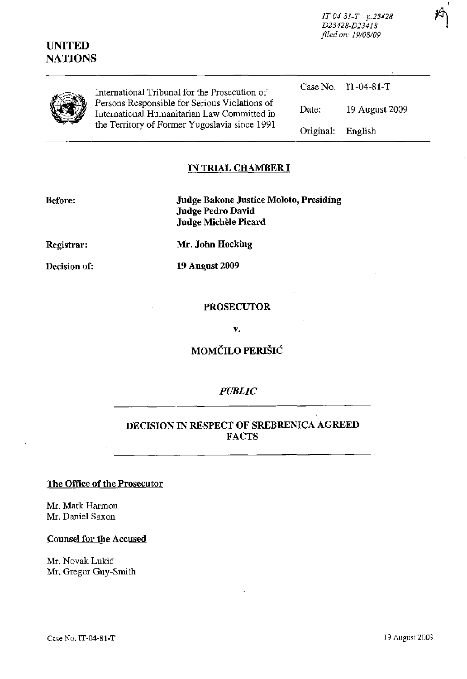*IT-04-81-T p.23428* ~ *D23428-D23418* ' I *filed on: 19108109* 

I

| International Tribunal for the Prosecution of<br>Persons Responsible for Serious Violations of<br>International Humanitarian Law Committed in<br>the Territory of Former Yugoslavia since 1991 |           | Case No. $IT-04-81-T$ |
|------------------------------------------------------------------------------------------------------------------------------------------------------------------------------------------------|-----------|-----------------------|
|                                                                                                                                                                                                | Date:     | 19 August 2009        |
|                                                                                                                                                                                                | Original: | English               |

#### **IN TRIAL CHAMBER I**

**UNITED NATIONS** 

> **Before: Judge Bakone Justice Moloto, Presiding Judge Pedro David Judge Michele Picard**

**Registrar: Mr. John Hocking** 

**Decision of: 19 August 2009** 

#### **PROSECUTOR**

**v.** 

# **MOMCILO** PERlSIC:~

#### *PUBLIC*

## **DECISION IN RESPECT OF SREBRENICA AGREED FACTS**

#### **The Office of the Prosecutor**

Mr. Mark Harmon **Mr. Daniel** Saxon

**Counsel for the Accused** 

Mr. Novak Lukic **Mr.** Gregor Guy-Smith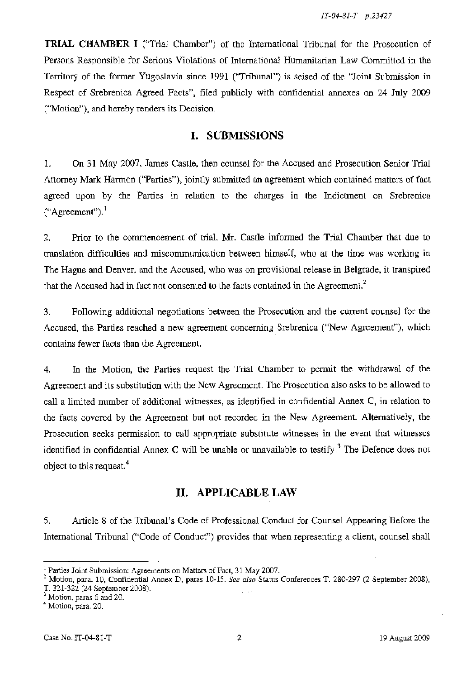**TRIAL CHAMBER I** ("Trial Chamber") of the International Tribunal for the Prosecution of Persons Responsible for Serious Violations of International Humanitarian Law Committed in the Territory of the former Yugoslavia since 1991 ("Tribunal") is seised of the "Joint Submission in Respect of Srebrenica Agreed Facts", filed publicly with confidential annexes on 24 July 2009 ("Motion"), and hereby renders its Decision.

# **I. SUBMISSIONS**

1. On 31 May 2007, James Castle, then counsel for the Accused and Prosecution Senior Trial Attorney Mark Harmon ("Parties"), jointly submitted an agreement which contained matters of fact agreed upon by the Parties in relation to the charges in the Indictment on Srebrenica  $("Agreement").$ <sup>1</sup>

2. Prior to the commencement of trial, Mr. Castle informed the Trial Chamber that due to translation difficulties and miscommunication between himself, who at the time was working in The Hague and Denver, and the Accused, who was on provisional release in Belgrade, it transpired that the Accused had in fact not consented to the facts contained in the Agreement.<sup>2</sup>

3. Following additional negotiations between the Prosecution and the current counsel for the Accused, the Parties reached a new agreement concerning Srebrenica ("New Agreement"), which contains fewer facts than the Agreement.

4. In the Motion, the Parties request the Trial Chamber to permit the withdrawal of the Agreement and its substitution with the New Agreement. The Prosecution also asks to be allowed to call a limited number of additional witnesses, as identified in confidential Annex C, in relation to the facts covered by the Agreement but not recorded in the New Agreement. Alternatively, the Prosecution seeks permission to call appropriate substitute witnesses in the event that witnesses identified in confidential Annex C will be unable or unavailable to testify.<sup>3</sup> The Defence does not object to this request.<sup>4</sup>

# **II. APPLICABLE LAW**

5. Article 8 of the Tribunal's Code of Professional Conduct for Counsel Appearing Before the Intemational Tribunal ("Code of Conduct") provides that when representing a client, counsel shall

<sup>&</sup>lt;sup>1</sup> Parties Joint Submission: Agreements on Matters of Fact, 31 May 2007.

<sup>2</sup> Motion, para. 10, Confidential Annex D, paras 10-15. *See also* Status Conferences T. 2S0-297 (2 September 200S), T. 321-322 (24 September 200S).

<sup>3</sup> Motion, paras 6 and 20.

<sup>4</sup> Motion, para. 20.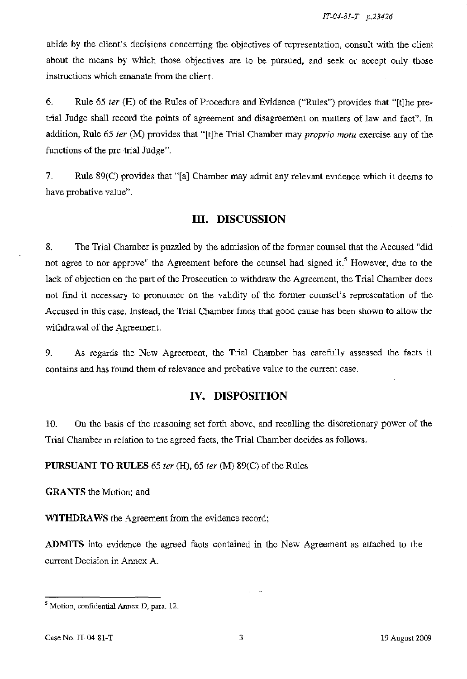abide by the client's decisions concerning the objectives of representation, consult with the client about the means by which those objectives are to be pursued, and seek or accept only those instructions which emanate from the client.

6. Rule 65 *ter* (H) of the Rules of Procedure and Evidence ("Rules") provides that "[tlhe pretrial Judge shall record the points of agreement and disagreement on matters of law and fact". In addition, Rule 65 *ter* (M) provides that "[tlhe Trial Chamber may *proprio motu* exercise any of the functions of the pre-trial Judge".

7. Rule 89(C) provides that "[al Chamber may admit any relevant evidence which it deems to have probative value".

#### **III. DISCUSSION**

8. The Trial Chamber is puzzled by the admission of the former counsel that the Accused "did not agree to nor approve" the Agreement before the counsel had signed it.<sup>5</sup> However, due to the lack of objection on the part of the Prosecution to withdraw the Agreement, the Trial Chamber does not find it necessary to pronounce on the validity of the former counsel's representation of the Accused in this case. Instead, the Trial Chamber finds that good cause has been shown to allow the withdrawal of the Agreement.

9. As regards the New Agreement, the Trial Chamber has carefully assessed the facts it contains and has found them of relevance and probative value to the current case.

#### **IV. DISPOSITION**

10. On the basis of the reasoning set forth above, and recalling the discretionary power of the Trial Chamber in relation to the agreed facts, the Trial Chamber decides as follows.

**PURSUANT TO RULES** 65 *ter* (H), 65 *ter* (M) 89(C) of the Rules

**GRANTS** the Motion; and

**WITHDRAWS** the Agreement from the evidence record;

**ADMITS** into evidence the agreed facts contained in the New Agreement as attached to the current Decision in Annex A.

<sup>5</sup> Motion, confidential Annex D, para. 12.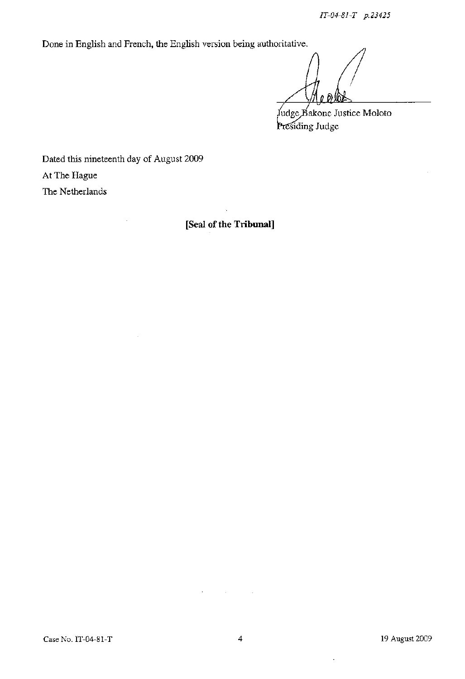Done in English and French, the English version being authoritative.

Judge Bakone Justice Moloto Presiding Judge

Dated this nineteenth day of August 2009 At The Hague The Netherlands

**[Seal of the Tribunal]** 

 $\ddot{\phantom{a}}$ 

 $\mathcal{L}_{\mathcal{L}}$ 

 $\overline{\phantom{a}}$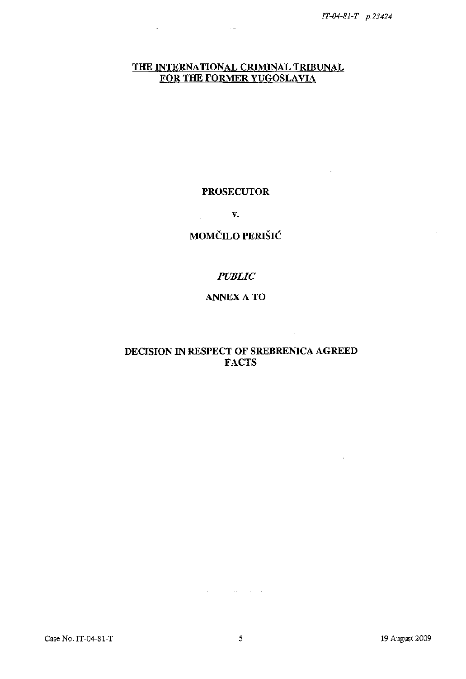$\lambda$ 

 $\mathcal{L}$ 

## **THE INTERNATIONAL CRIMINAL TRIBUNAL FOR THE FORMER YUGOSLAVIA**

 $\sim$   $\sim$ 

Ţ,

#### **PROSECUTOR**

**v.** 

# **MOMČILO PERIŠIĆ**

## *PUBLIC*

## ANNEXA TO

## **DECISION IN RESPECT OF SREBRENICA AGREED FACTS**

 $\sim$ 

 $\mathcal{A}^{\mathcal{A}}$  and  $\mathcal{A}^{\mathcal{A}}$  and  $\mathcal{A}^{\mathcal{A}}$  and  $\mathcal{A}^{\mathcal{A}}$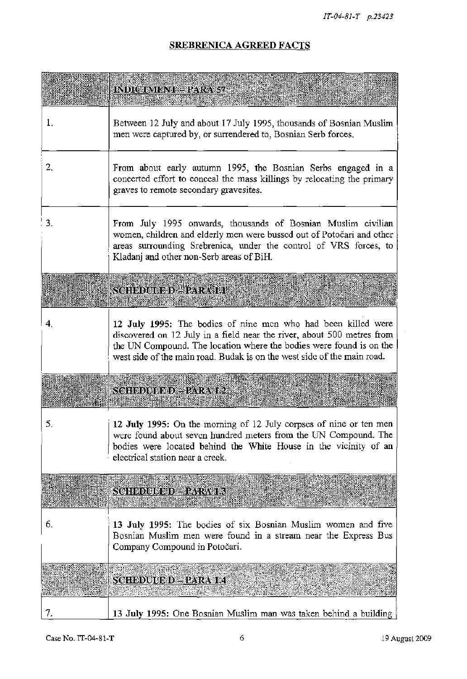# **SREBRENICA AGREED FACTS**

|    | INDICIMENT PARAST                                                                                                                                                                                                                                                                         |
|----|-------------------------------------------------------------------------------------------------------------------------------------------------------------------------------------------------------------------------------------------------------------------------------------------|
| 1. | Between 12 July and about 17 July 1995, thousands of Bosnian Muslim<br>men were captured by, or surrendered to, Bosnian Serb forces.                                                                                                                                                      |
| 2. | From about early autumn 1995, the Bosnian Serbs engaged in a<br>concerted effort to conceal the mass killings by relocating the primary<br>graves to remote secondary gravesites.                                                                                                         |
| 3. | From July 1995 onwards, thousands of Bosnian Muslim civilian<br>women, children and elderly men were bussed out of Potočari and other<br>areas surrounding Srebrenica, under the control of VRS forces, to<br>Kladanj and other non-Serb areas of BiH.                                    |
|    | <b>SCHEDULE DEPARATEL</b>                                                                                                                                                                                                                                                                 |
| 4. | 12 July 1995: The bodies of nine men who had been killed were<br>discovered on 12 July in a field near the river, about 500 metres from<br>the UN Compound. The location where the bodies were found is on the<br>west side of the main road. Budak is on the west side of the main road. |
|    | SCHEDULED - PARA 12                                                                                                                                                                                                                                                                       |
| 5. | 12 July 1995: On the morning of 12 July corpses of nine or ten men<br>were found about seven hundred meters from the UN Compound. The<br>bodies were located behind the White House in the vicinity of an<br>electrical station near a creek.                                             |
|    | <b>SCHEDULE DE PARA 1.3</b>                                                                                                                                                                                                                                                               |
| 6. | 13 July 1995: The bodies of six Bosnian Muslim women and five<br>Bosnian Muslim men were found in a stream near the Express Bus<br>Company Compound in Potočari.                                                                                                                          |
|    | <u>SCHEDUCED – PARATIZ</u>                                                                                                                                                                                                                                                                |
| 7. | 13 July 1995: One Bosnian Muslim man was taken behind a building                                                                                                                                                                                                                          |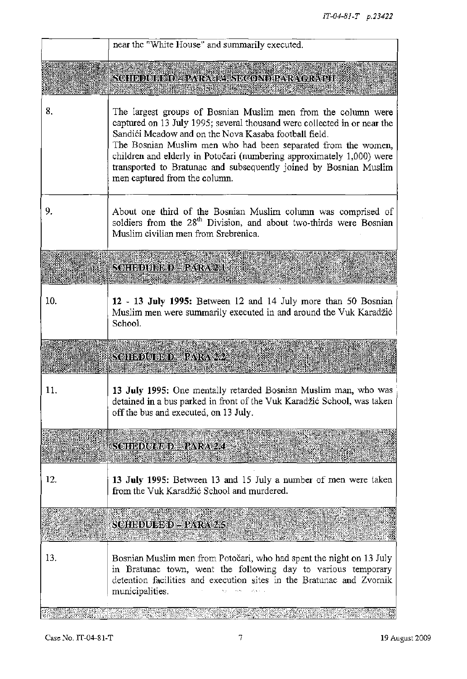|     | near the "White House" and summarily executed.                                                                                                                                                                                                                                                                                                                                                                                                     |
|-----|----------------------------------------------------------------------------------------------------------------------------------------------------------------------------------------------------------------------------------------------------------------------------------------------------------------------------------------------------------------------------------------------------------------------------------------------------|
|     | <u> SOHEDUEED - PARAMA, SECONDIPARA CRAPH</u>                                                                                                                                                                                                                                                                                                                                                                                                      |
| 8.  | The largest groups of Bosnian Muslim men from the column were<br>captured on 13 July 1995; several thousand were collected in or near the<br>Sandići Meadow and on the Nova Kasaba football field.<br>The Bosnian Muslim men who had been separated from the women,<br>children and elderly in Potočari (numbering approximately 1,000) were<br>transported to Bratunac and subsequently joined by Bosnian Muslim<br>men captured from the column. |
| 9.  | About one third of the Bosnian Muslim column was comprised of<br>soldiers from the 28 <sup>th</sup> Division, and about two-thirds were Bosnian<br>Muslim civilian men from Srebrenica.                                                                                                                                                                                                                                                            |
|     | SCHEDUBE D' - PARA 2.1                                                                                                                                                                                                                                                                                                                                                                                                                             |
| 10. | 12 - 13 July 1995: Between 12 and 14 July more than 50 Bosnian<br>Muslim men were summarily executed in and around the Vuk Karadžić<br>School.                                                                                                                                                                                                                                                                                                     |
|     | <b>SCILEDULED - PARA 22</b>                                                                                                                                                                                                                                                                                                                                                                                                                        |
| 11. | 13 July 1995: One mentally retarded Bosnian Muslim man, who was<br>detained in a bus parked in front of the Vuk Karadžić School, was taken<br>off the bus and executed, on 13 July.                                                                                                                                                                                                                                                                |
|     | <b>SCHEDULE D. PARA 2.4</b>                                                                                                                                                                                                                                                                                                                                                                                                                        |
| 12. | 13 July 1995: Between 13 and 15 July a number of men were taken<br>from the Vuk Karadžić School and murdered.                                                                                                                                                                                                                                                                                                                                      |
|     | SCHBOUSED - PARA 2.5                                                                                                                                                                                                                                                                                                                                                                                                                               |
| 13. | Bosnian Muslim men from Potočari, who had spent the night on 13 July<br>in Bratunac town, went the following day to various temporary<br>detention facilities and execution sites in the Bratunac and Zvornik<br>municipalities.                                                                                                                                                                                                                   |
|     |                                                                                                                                                                                                                                                                                                                                                                                                                                                    |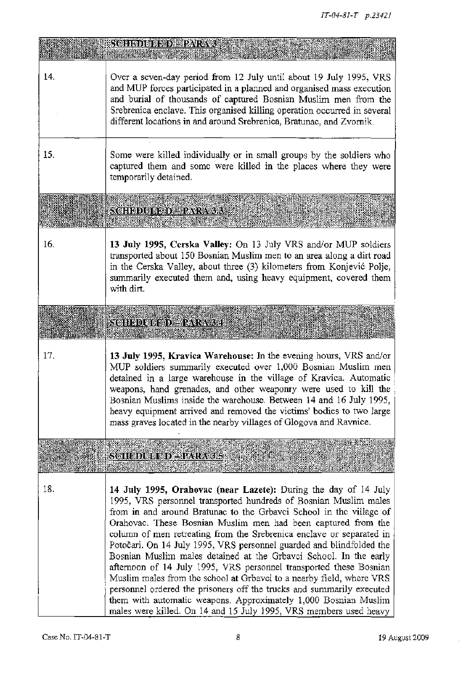|     | <b>SCHEDULE DE PARA 3</b>                                                                                                                                                                                                                                                                                                                                                                                                                                                                                                                                                                                                                                                                                                                                                                                                                                       |
|-----|-----------------------------------------------------------------------------------------------------------------------------------------------------------------------------------------------------------------------------------------------------------------------------------------------------------------------------------------------------------------------------------------------------------------------------------------------------------------------------------------------------------------------------------------------------------------------------------------------------------------------------------------------------------------------------------------------------------------------------------------------------------------------------------------------------------------------------------------------------------------|
| 14. | Over a seven-day period from 12 July until about 19 July 1995, VRS<br>and MUP forces participated in a planned and organised mass execution<br>and burial of thousands of captured Bosnian Muslim men from the<br>Srebrenica enclave. This organised killing operation occurred in several<br>different locations in and around Srebrenica, Bratunac, and Zvornik.                                                                                                                                                                                                                                                                                                                                                                                                                                                                                              |
| 15. | Some were killed individually or in small groups by the soldiers who<br>captured them and some were killed in the places where they were<br>temporarily detained.                                                                                                                                                                                                                                                                                                                                                                                                                                                                                                                                                                                                                                                                                               |
|     | <u> SCHEDULED, PARA 33</u>                                                                                                                                                                                                                                                                                                                                                                                                                                                                                                                                                                                                                                                                                                                                                                                                                                      |
| 16. | 13 July 1995, Cerska Valley: On 13 July VRS and/or MUP soldiers<br>transported about 150 Bosnian Muslim men to an area along a dirt road<br>in the Cerska Valley, about three (3) kilometers from Konjević Polje,<br>summarily executed them and, using heavy equipment, covered them<br>with dirt.                                                                                                                                                                                                                                                                                                                                                                                                                                                                                                                                                             |
|     | SCHEDULED – RARA 34                                                                                                                                                                                                                                                                                                                                                                                                                                                                                                                                                                                                                                                                                                                                                                                                                                             |
| 17. | 13 July 1995, Kravica Warehouse: In the evening hours, VRS and/or<br>MUP soldiers summarily executed over 1,000 Bosnian Muslim men<br>detained in a large warehouse in the village of Kravica. Automatic<br>weapons, hand grenades, and other weaponry were used to kill the<br>Bosnian Muslims inside the warehouse. Between 14 and 16 July 1995,<br>heavy equipment arrived and removed the victims' bodies to two large<br>mass graves located in the nearby villages of Glogova and Ravnice.                                                                                                                                                                                                                                                                                                                                                                |
|     | <u>SCHEDULED SPARA 15</u>                                                                                                                                                                                                                                                                                                                                                                                                                                                                                                                                                                                                                                                                                                                                                                                                                                       |
| 18. | 14 July 1995, Orahovac (near Lazete): During the day of 14 July<br>1995, VRS personnel transported hundreds of Bosnian Muslim males<br>from in and around Bratunac to the Grbavci School in the village of<br>Orahovac, These Bosnian Muslim men had been captured from the<br>column of men retreating from the Srebrenica enclave or separated in<br>Potočari. On 14 July 1995, VRS personnel guarded and blindfolded the<br>Bosnian Muslim males detained at the Grbavci School. In the early<br>afternoon of 14 July 1995, VRS personnel transported these Bosnian<br>Muslim males from the school at Grbavci to a nearby field, where VRS<br>personnel ordered the prisoners off the trucks and summarily executed<br>them with automatic weapons. Approximately 1,000 Bosnian Muslim<br>males were killed. On 14 and 15 July 1995, VRS members used heavy |

 $\mathcal{A}^{\mathcal{A}}$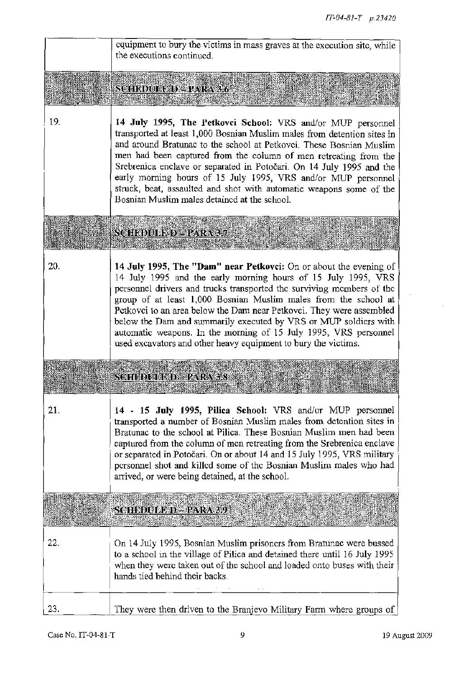|     | equipment to bury the victims in mass graves at the execution site, while<br>the executions continued.                                                                                                                                                                                                                                                                                                                                                                                                                                                           |
|-----|------------------------------------------------------------------------------------------------------------------------------------------------------------------------------------------------------------------------------------------------------------------------------------------------------------------------------------------------------------------------------------------------------------------------------------------------------------------------------------------------------------------------------------------------------------------|
|     | <u>SCHEDUEED = PARA 3.6</u>                                                                                                                                                                                                                                                                                                                                                                                                                                                                                                                                      |
| 19. | 14 July 1995, The Petkovci School: VRS and/or MUP personnel<br>transported at least 1,000 Bosnian Muslim males from detention sites in<br>and around Bratunac to the school at Petkovci. These Bosnian Muslim<br>men had been captured from the column of men retreating from the<br>Srebrenica enclave or separated in Potočari. On 14 July 1995 and the<br>early morning hours of 15 July 1995, VRS and/or MUP personnel<br>struck, beat, assaulted and shot with automatic weapons some of the<br>Bosnian Muslim males detained at the school.                |
|     | <u> SCHEDULED - PARA 37</u>                                                                                                                                                                                                                                                                                                                                                                                                                                                                                                                                      |
| 20. | 14 July 1995, The "Dam" near Petkovci: On or about the evening of<br>14 July 1995 and the early morning hours of 15 July 1995, VRS<br>personnel drivers and trucks transported the surviving members of the<br>group of at least 1,000 Bosnian Muslim males from the school at<br>Petkovci to an area below the Dam near Petkovci. They were assembled<br>below the Dam and summarily executed by VRS or MUP soldiers with<br>automatic weapons. In the morning of 15 July 1995, VRS personnel<br>used excavators and other heavy equipment to bury the victims. |
|     | SOHEELED PARASS                                                                                                                                                                                                                                                                                                                                                                                                                                                                                                                                                  |
| 21. | 14 - 15 July 1995, Pilica School: VRS and/or MUP personnel<br>transported a number of Bosnian Muslim males from detention sites in<br>Bratunac to the school at Pilica. These Bosnian Muslim men had been<br>captured from the column of men retreating from the Srebrenica enclave<br>or separated in Potočari. On or about 14 and 15 July 1995, VRS military<br>personnel shot and killed some of the Bosnian Muslim males who had<br>arrived, or were being detained, at the school.                                                                          |
|     | <b>SCHEDULE D-PARA 39</b>                                                                                                                                                                                                                                                                                                                                                                                                                                                                                                                                        |
| 22. | On 14 July 1995, Bosnian Muslim prisoners from Bratunac were bussed<br>to a school in the village of Pilica and detained there until 16 July 1995<br>when they were taken out of the school and loaded onto buses with their<br>hands tied behind their backs.                                                                                                                                                                                                                                                                                                   |
| 23. | They were then driven to the Branjevo Military Farm where groups of                                                                                                                                                                                                                                                                                                                                                                                                                                                                                              |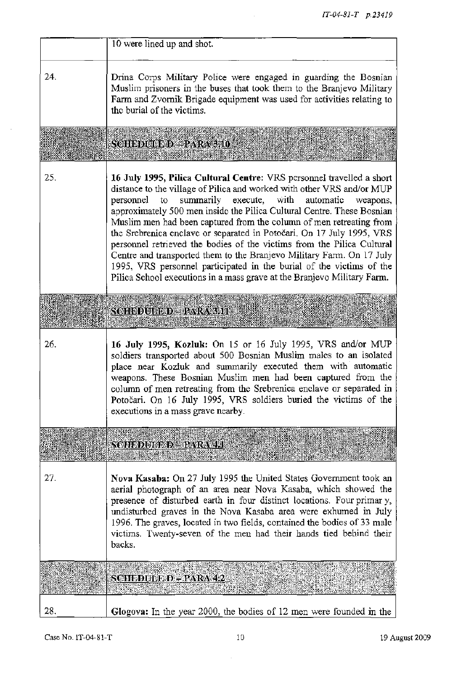|     | 10 were lined up and shot.                                                                                                                                                                                                                                                                                                                                                                                                                                                                                                                                                                                                                                                                                                                             |
|-----|--------------------------------------------------------------------------------------------------------------------------------------------------------------------------------------------------------------------------------------------------------------------------------------------------------------------------------------------------------------------------------------------------------------------------------------------------------------------------------------------------------------------------------------------------------------------------------------------------------------------------------------------------------------------------------------------------------------------------------------------------------|
| 24. | Drina Corps Military Police were engaged in guarding the Bosnian<br>Muslim prisoners in the buses that took them to the Branjevo Military<br>Farm and Zvornik Brigade equipment was used for activities relating to<br>the burial of the victims.                                                                                                                                                                                                                                                                                                                                                                                                                                                                                                      |
|     | SCHEDULED-PARA310                                                                                                                                                                                                                                                                                                                                                                                                                                                                                                                                                                                                                                                                                                                                      |
| 25. | 16 July 1995, Pilica Cultural Centre: VRS personnel travelled a short<br>distance to the village of Pilica and worked with other VRS and/or MUP<br>summarily execute, with<br>personnel<br>to<br>automatic<br>weapons,<br>approximately 500 men inside the Pilica Cultural Centre. These Bosnian<br>Muslim men had been captured from the column of men retreating from<br>the Srebrenica enclave or separated in Potočari. On 17 July 1995, VRS<br>personnel retrieved the bodies of the victims from the Pilica Cultural<br>Centre and transported them to the Branjevo Military Farm. On 17 July<br>1995, VRS personnel participated in the burial of the victims of the<br>Pilica School executions in a mass grave at the Branjevo Military Farm. |
|     | SCHEDULED – PARASIT                                                                                                                                                                                                                                                                                                                                                                                                                                                                                                                                                                                                                                                                                                                                    |
| 26. | 16 July 1995, Kozluk: On 15 or 16 July 1995, VRS and/or MUP<br>soldiers transported about 500 Bosnian Muslim males to an isolated<br>place near Kozluk and summarily executed them with automatic<br>weapons. These Bosnian Muslim men had been captured from the<br>column of men retreating from the Srebrenica enclave or separated in<br>Potočari. On 16 July 1995, VRS soldiers buried the victims of the<br>executions in a mass grave nearby.                                                                                                                                                                                                                                                                                                   |
|     | <u> SOFEDUJ ED = PARA 411</u>                                                                                                                                                                                                                                                                                                                                                                                                                                                                                                                                                                                                                                                                                                                          |
| 27. | Nova Kasaba: On 27 July 1995 the United States Government took an<br>aerial photograph of an area near Nova Kasaba, which showed the<br>presence of disturbed earth in four distinct locations. Four primary,<br>undisturbed graves in the Nova Kasaba area were exhumed in July<br>1996. The graves, located in two fields, contained the bodies of 33 male<br>victims. Twenty-seven of the men had their hands tied behind their<br>backs.                                                                                                                                                                                                                                                                                                           |
|     | SCHEDUEFED – PARA 42                                                                                                                                                                                                                                                                                                                                                                                                                                                                                                                                                                                                                                                                                                                                   |
| 28. | Glogova: In the year 2000, the bodies of 12 men were founded in the                                                                                                                                                                                                                                                                                                                                                                                                                                                                                                                                                                                                                                                                                    |

 $\sim$ 

 $\mathcal{A}^{\mathcal{A}}$  ,  $\mathcal{A}^{\mathcal{A}}$